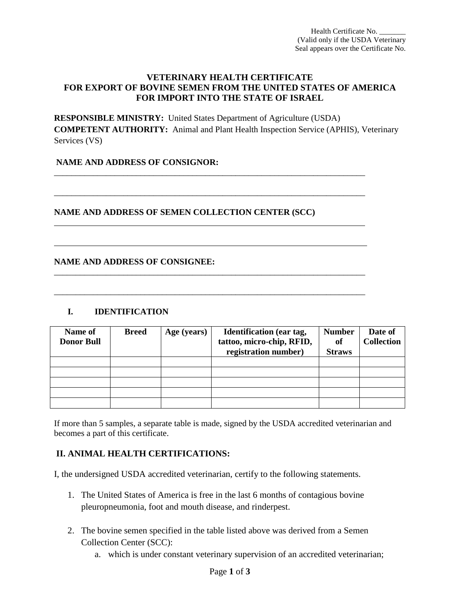#### **VETERINARY HEALTH CERTIFICATE FOR EXPORT OF BOVINE SEMEN FROM THE UNITED STATES OF AMERICA FOR IMPORT INTO THE STATE OF ISRAEL**

**RESPONSIBLE MINISTRY:** United States Department of Agriculture (USDA) **COMPETENT AUTHORITY:** Animal and Plant Health Inspection Service (APHIS), Veterinary Services (VS)

\_\_\_\_\_\_\_\_\_\_\_\_\_\_\_\_\_\_\_\_\_\_\_\_\_\_\_\_\_\_\_\_\_\_\_\_\_\_\_\_\_\_\_\_\_\_\_\_\_\_\_\_\_\_\_\_\_\_\_\_\_\_\_\_\_\_\_\_\_\_\_\_

\_\_\_\_\_\_\_\_\_\_\_\_\_\_\_\_\_\_\_\_\_\_\_\_\_\_\_\_\_\_\_\_\_\_\_\_\_\_\_\_\_\_\_\_\_\_\_\_\_\_\_\_\_\_\_\_\_\_\_\_\_\_\_\_\_\_\_\_\_\_\_\_

\_\_\_\_\_\_\_\_\_\_\_\_\_\_\_\_\_\_\_\_\_\_\_\_\_\_\_\_\_\_\_\_\_\_\_\_\_\_\_\_\_\_\_\_\_\_\_\_\_\_\_\_\_\_\_\_\_\_\_\_\_\_\_\_\_\_\_\_\_\_\_\_

\_\_\_\_\_\_\_\_\_\_\_\_\_\_\_\_\_\_\_\_\_\_\_\_\_\_\_\_\_\_\_\_\_\_\_\_\_\_\_\_\_\_\_\_\_\_\_\_\_\_\_\_\_\_\_\_\_\_\_\_\_\_\_\_\_\_\_\_\_\_\_\_

## **NAME AND ADDRESS OF CONSIGNOR:**

## **NAME AND ADDRESS OF SEMEN COLLECTION CENTER (SCC)**

#### **NAME AND ADDRESS OF CONSIGNEE:**

### **I. IDENTIFICATION**

l

 $\overline{\phantom{0}}$ 

| Name of           | <b>Breed</b> | Age (years) | <b>Identification</b> (ear tag, | <b>Number</b> | Date of           |
|-------------------|--------------|-------------|---------------------------------|---------------|-------------------|
| <b>Donor Bull</b> |              |             | tattoo, micro-chip, RFID,       | of            | <b>Collection</b> |
|                   |              |             | registration number)            | <b>Straws</b> |                   |
|                   |              |             |                                 |               |                   |
|                   |              |             |                                 |               |                   |
|                   |              |             |                                 |               |                   |
|                   |              |             |                                 |               |                   |
|                   |              |             |                                 |               |                   |

If more than 5 samples, a separate table is made, signed by the USDA accredited veterinarian and becomes a part of this certificate.

# **II. ANIMAL HEALTH CERTIFICATIONS:**

I, the undersigned USDA accredited veterinarian, certify to the following statements.

- 1. The United States of America is free in the last 6 months of contagious bovine pleuropneumonia, foot and mouth disease, and rinderpest.
- 2. The bovine semen specified in the table listed above was derived from a Semen Collection Center (SCC):
	- a. which is under constant veterinary supervision of an accredited veterinarian;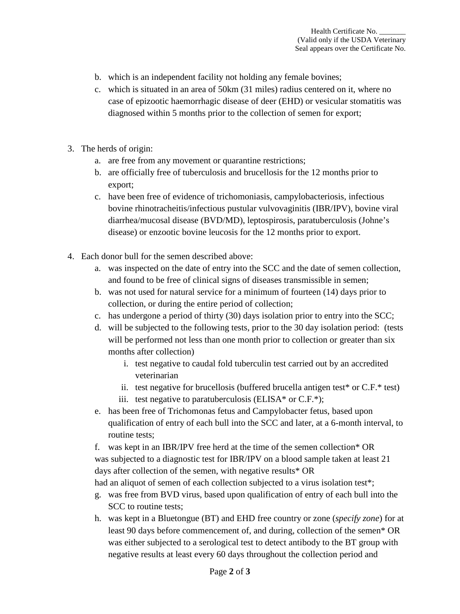- b. which is an independent facility not holding any female bovines;
- c. which is situated in an area of 50km (31 miles) radius centered on it, where no case of epizootic haemorrhagic disease of deer (EHD) or vesicular stomatitis was diagnosed within 5 months prior to the collection of semen for export;
- 3. The herds of origin:
	- a. are free from any movement or quarantine restrictions;
	- b. are officially free of tuberculosis and brucellosis for the 12 months prior to export;
	- c. have been free of evidence of trichomoniasis, campylobacteriosis, infectious bovine rhinotracheitis/infectious pustular vulvovaginitis (IBR/IPV), bovine viral diarrhea/mucosal disease (BVD/MD), leptospirosis, paratuberculosis (Johne's disease) or enzootic bovine leucosis for the 12 months prior to export.
- 4. Each donor bull for the semen described above:
	- a. was inspected on the date of entry into the SCC and the date of semen collection, and found to be free of clinical signs of diseases transmissible in semen;
	- b. was not used for natural service for a minimum of fourteen (14) days prior to collection, or during the entire period of collection;
	- c. has undergone a period of thirty (30) days isolation prior to entry into the SCC;
	- d. will be subjected to the following tests, prior to the 30 day isolation period: (tests will be performed not less than one month prior to collection or greater than six months after collection)
		- i. test negative to caudal fold tuberculin test carried out by an accredited veterinarian
		- ii. test negative for brucellosis (buffered brucella antigen test\* or  $C.F.*$  test)
		- iii. test negative to paratuberculosis (ELISA $*$  or C.F. $*$ );
	- e. has been free of Trichomonas fetus and Campylobacter fetus, based upon qualification of entry of each bull into the SCC and later, at a 6-month interval, to routine tests;

f. was kept in an IBR/IPV free herd at the time of the semen collection\* OR was subjected to a diagnostic test for IBR/IPV on a blood sample taken at least 21 days after collection of the semen, with negative results\* OR

had an aliquot of semen of each collection subjected to a virus isolation test\*;

- g. was free from BVD virus, based upon qualification of entry of each bull into the SCC to routine tests;
- h. was kept in a Bluetongue (BT) and EHD free country or zone (*specify zone*) for at least 90 days before commencement of, and during, collection of the semen\* OR was either subjected to a serological test to detect antibody to the BT group with negative results at least every 60 days throughout the collection period and